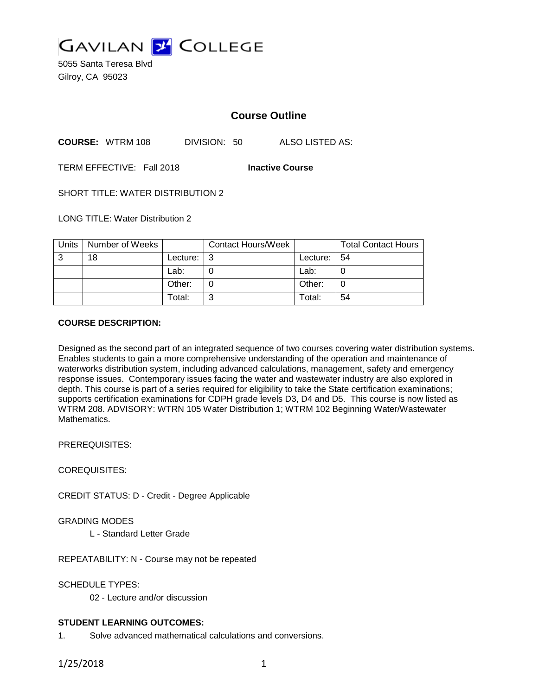

5055 Santa Teresa Blvd Gilroy, CA 95023

## **Course Outline**

**COURSE:** WTRM 108 DIVISION: 50 ALSO LISTED AS:

TERM EFFECTIVE: Fall 2018 **Inactive Course**

SHORT TITLE: WATER DISTRIBUTION 2

LONG TITLE: Water Distribution 2

| Units | Number of Weeks |          | <b>Contact Hours/Week</b> |             | <b>Total Contact Hours</b> |
|-------|-----------------|----------|---------------------------|-------------|----------------------------|
| 3     | 18              | Lecture: | l 3                       | Lecture: 54 |                            |
|       |                 | Lab:     |                           | Lab:        |                            |
|       |                 | Other:   |                           | Other:      |                            |
|       |                 | Total:   | ົ                         | Total:      | 54                         |

#### **COURSE DESCRIPTION:**

Designed as the second part of an integrated sequence of two courses covering water distribution systems. Enables students to gain a more comprehensive understanding of the operation and maintenance of waterworks distribution system, including advanced calculations, management, safety and emergency response issues. Contemporary issues facing the water and wastewater industry are also explored in depth. This course is part of a series required for eligibility to take the State certification examinations; supports certification examinations for CDPH grade levels D3, D4 and D5. This course is now listed as WTRM 208. ADVISORY: WTRN 105 Water Distribution 1; WTRM 102 Beginning Water/Wastewater Mathematics.

PREREQUISITES:

COREQUISITES:

CREDIT STATUS: D - Credit - Degree Applicable

GRADING MODES

L - Standard Letter Grade

REPEATABILITY: N - Course may not be repeated

SCHEDULE TYPES:

02 - Lecture and/or discussion

### **STUDENT LEARNING OUTCOMES:**

1. Solve advanced mathematical calculations and conversions.

1/25/2018 1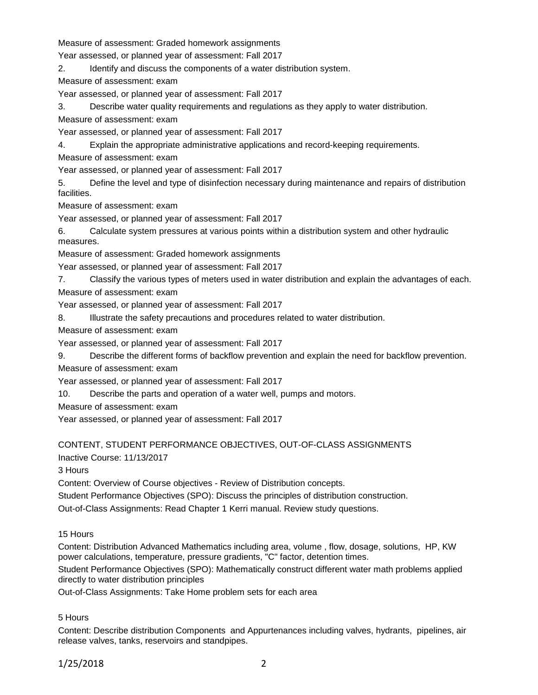Measure of assessment: Graded homework assignments

Year assessed, or planned year of assessment: Fall 2017

2. Identify and discuss the components of a water distribution system.

Measure of assessment: exam

Year assessed, or planned year of assessment: Fall 2017

3. Describe water quality requirements and regulations as they apply to water distribution.

Measure of assessment: exam

Year assessed, or planned year of assessment: Fall 2017

4. Explain the appropriate administrative applications and record-keeping requirements.

Measure of assessment: exam

Year assessed, or planned year of assessment: Fall 2017

5. Define the level and type of disinfection necessary during maintenance and repairs of distribution facilities.

Measure of assessment: exam

Year assessed, or planned year of assessment: Fall 2017

6. Calculate system pressures at various points within a distribution system and other hydraulic measures.

Measure of assessment: Graded homework assignments

Year assessed, or planned year of assessment: Fall 2017

7. Classify the various types of meters used in water distribution and explain the advantages of each.

Measure of assessment: exam

Year assessed, or planned year of assessment: Fall 2017

8. Illustrate the safety precautions and procedures related to water distribution.

Measure of assessment: exam

Year assessed, or planned year of assessment: Fall 2017

9. Describe the different forms of backflow prevention and explain the need for backflow prevention.

Measure of assessment: exam

Year assessed, or planned year of assessment: Fall 2017

10. Describe the parts and operation of a water well, pumps and motors.

Measure of assessment: exam

Year assessed, or planned year of assessment: Fall 2017

## CONTENT, STUDENT PERFORMANCE OBJECTIVES, OUT-OF-CLASS ASSIGNMENTS

Inactive Course: 11/13/2017

3 Hours

Content: Overview of Course objectives - Review of Distribution concepts.

Student Performance Objectives (SPO): Discuss the principles of distribution construction.

Out-of-Class Assignments: Read Chapter 1 Kerri manual. Review study questions.

15 Hours

Content: Distribution Advanced Mathematics including area, volume , flow, dosage, solutions, HP, KW power calculations, temperature, pressure gradients, "C" factor, detention times.

Student Performance Objectives (SPO): Mathematically construct different water math problems applied directly to water distribution principles

Out-of-Class Assignments: Take Home problem sets for each area

### 5 Hours

Content: Describe distribution Components and Appurtenances including valves, hydrants, pipelines, air release valves, tanks, reservoirs and standpipes.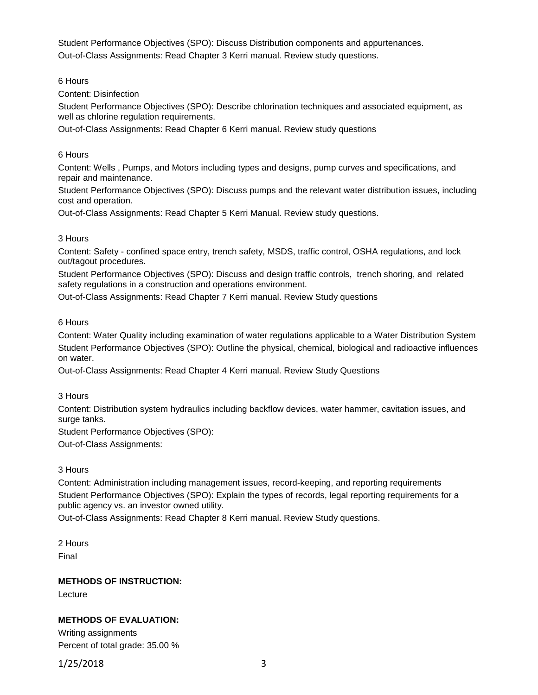Student Performance Objectives (SPO): Discuss Distribution components and appurtenances. Out-of-Class Assignments: Read Chapter 3 Kerri manual. Review study questions.

6 Hours

Content: Disinfection

Student Performance Objectives (SPO): Describe chlorination techniques and associated equipment, as well as chlorine regulation requirements.

Out-of-Class Assignments: Read Chapter 6 Kerri manual. Review study questions

6 Hours

Content: Wells , Pumps, and Motors including types and designs, pump curves and specifications, and repair and maintenance.

Student Performance Objectives (SPO): Discuss pumps and the relevant water distribution issues, including cost and operation.

Out-of-Class Assignments: Read Chapter 5 Kerri Manual. Review study questions.

### 3 Hours

Content: Safety - confined space entry, trench safety, MSDS, traffic control, OSHA regulations, and lock out/tagout procedures.

Student Performance Objectives (SPO): Discuss and design traffic controls, trench shoring, and related safety regulations in a construction and operations environment.

Out-of-Class Assignments: Read Chapter 7 Kerri manual. Review Study questions

6 Hours

Content: Water Quality including examination of water regulations applicable to a Water Distribution System Student Performance Objectives (SPO): Outline the physical, chemical, biological and radioactive influences on water.

Out-of-Class Assignments: Read Chapter 4 Kerri manual. Review Study Questions

3 Hours

Content: Distribution system hydraulics including backflow devices, water hammer, cavitation issues, and surge tanks.

Student Performance Objectives (SPO):

Out-of-Class Assignments:

3 Hours

Content: Administration including management issues, record-keeping, and reporting requirements Student Performance Objectives (SPO): Explain the types of records, legal reporting requirements for a public agency vs. an investor owned utility.

Out-of-Class Assignments: Read Chapter 8 Kerri manual. Review Study questions.

2 Hours Final

**METHODS OF INSTRUCTION:**

Lecture

# **METHODS OF EVALUATION:**

Writing assignments Percent of total grade: 35.00 %

1/25/2018 3